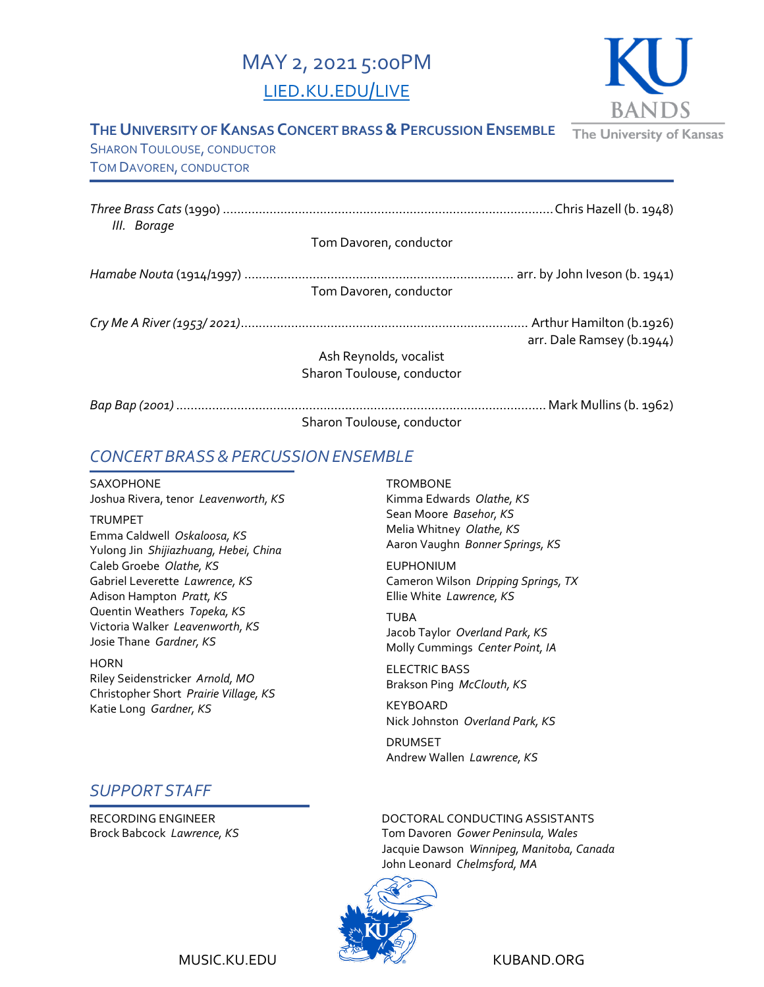# MAY 2, 2021 5:00PM [LIED.KU.EDU/LIVE](http://lied.ku.edu/live)



### **THE UNIVERSITY OF KANSAS CONCERT BRASS & PERCUSSION ENSEMBLE**

The University of Kansas

SHARON TOULOUSE, CONDUCTOR TOM DAVOREN, CONDUCTOR

| III. Borage |                            |                           |
|-------------|----------------------------|---------------------------|
|             | Tom Davoren, conductor     |                           |
|             | Tom Davoren, conductor     |                           |
|             |                            |                           |
|             | Ash Reynolds, vocalist     | arr. Dale Ramsey (b.1944) |
|             | Sharon Toulouse, conductor |                           |
|             |                            | Mark Mullins (b. 1962)    |
|             | Sharon Toulouse, conductor |                           |

## *CONCERT BRASS&PERCUSSIONENSEMBLE*

SAXOPHONE Joshua Rivera, tenor *Leavenworth, KS*

TRUMPET Emma Caldwell *Oskaloosa, KS* Yulong Jin *Shijiazhuang, Hebei, China* Caleb Groebe *Olathe, KS* Gabriel Leverette *Lawrence, KS* Adison Hampton *Pratt, KS* Quentin Weathers *Topeka, KS* Victoria Walker *Leavenworth, KS* Josie Thane *Gardner, KS*

**HORN** Riley Seidenstricker *Arnold, MO* Christopher Short *Prairie Village, KS* Katie Long *Gardner, KS*

## *SUPPORT STAFF*

RECORDING ENGINEER Brock Babcock *Lawrence, KS*

#### **TROMBONE**

Kimma Edwards *Olathe, KS* Sean Moore *Basehor, KS* Melia Whitney *Olathe, KS* Aaron Vaughn *Bonner Springs, KS*

EUPHONIUM Cameron Wilson *Dripping Springs, TX* Ellie White *Lawrence, KS*

TUBA Jacob Taylor *Overland Park, KS* Molly Cummings *Center Point, IA*

ELECTRIC BASS Brakson Ping *McClouth, KS*

KEYBOARD Nick Johnston *Overland Park, KS*

DRUMSET Andrew Wallen *Lawrence, KS*

DOCTORAL CONDUCTING ASSISTANTS Tom Davoren *Gower Peninsula, Wales* Jacquie Dawson *Winnipeg, Manitoba, Canada* John Leonard *Chelmsford, MA*